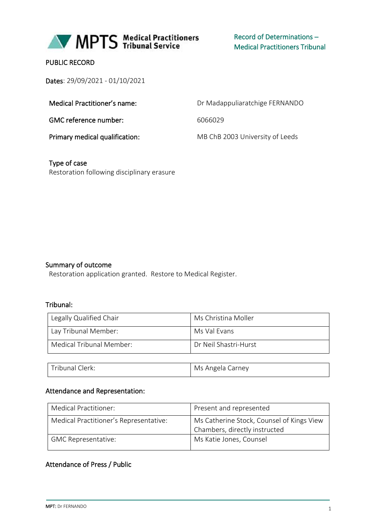

Record of Determinations – Medical Practitioners Tribunal

## PUBLIC RECORD

Dates: 29/09/2021 - 01/10/2021

| Medical Practitioner's name:   | Dr Madappuliaratchige FERNANDO  |
|--------------------------------|---------------------------------|
| GMC reference number:          | 6066029                         |
| Primary medical qualification: | MB ChB 2003 University of Leeds |

Type of case Restoration following disciplinary erasure

#### Summary of outcome

Restoration application granted. Restore to Medical Register.

Tribunal Clerk: Microsoft Clerk: Microsoft Microsoft Microsoft Microsoft Microsoft Microsoft Microsoft Microsoft Microsoft Microsoft Microsoft Microsoft Microsoft Microsoft Microsoft Microsoft Microsoft Microsoft Microsoft

#### Tribunal:

| Legally Qualified Chair  | Ms Christina Moller   |
|--------------------------|-----------------------|
| Lay Tribunal Member:     | Ms Val Evans          |
| Medical Tribunal Member: | Dr Neil Shastri-Hurst |
|                          |                       |

# Attendance and Representation:

| Medical Practitioner:                  | Present and represented                                                    |
|----------------------------------------|----------------------------------------------------------------------------|
| Medical Practitioner's Representative: | Ms Catherine Stock, Counsel of Kings View<br>Chambers, directly instructed |
| <b>GMC Representative:</b>             | Ms Katie Jones, Counsel                                                    |

## Attendance of Press / Public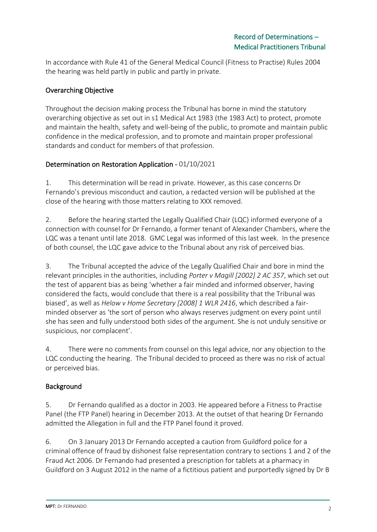In accordance with Rule 41 of the General Medical Council (Fitness to Practise) Rules 2004 the hearing was held partly in public and partly in private.

# Overarching Objective

Throughout the decision making process the Tribunal has borne in mind the statutory overarching objective as set out in s1 Medical Act 1983 (the 1983 Act) to protect, promote and maintain the health, safety and well-being of the public, to promote and maintain public confidence in the medical profession, and to promote and maintain proper professional standards and conduct for members of that profession.

# Determination on Restoration Application - 01/10/2021

1. This determination will be read in private. However, as this case concerns Dr Fernando's previous misconduct and caution, a redacted version will be published at the close of the hearing with those matters relating to XXX removed.

2. Before the hearing started the Legally Qualified Chair (LQC) informed everyone of a connection with counsel for Dr Fernando, a former tenant of Alexander Chambers, where the LQC was a tenant until late 2018. GMC Legal was informed of this last week. In the presence of both counsel, the LQC gave advice to the Tribunal about any risk of perceived bias.

3. The Tribunal accepted the advice of the Legally Qualified Chair and bore in mind the relevant principles in the authorities, including *Porter v Magill [2002] 2 AC 357*, which set out the test of apparent bias as being 'whether a fair minded and informed observer, having considered the facts, would conclude that there is a real possibility that the Tribunal was biased', as well as *Helow v Home Secretary [2008] 1 WLR 2416*, which described a fairminded observer as 'the sort of person who always reserves judgment on every point until she has seen and fully understood both sides of the argument. She is not unduly sensitive or suspicious, nor complacent'.

4. There were no comments from counsel on this legal advice, nor any objection to the LQC conducting the hearing. The Tribunal decided to proceed as there was no risk of actual or perceived bias.

# Background

5. Dr Fernando qualified as a doctor in 2003. He appeared before a Fitness to Practise Panel (the FTP Panel) hearing in December 2013. At the outset of that hearing Dr Fernando admitted the Allegation in full and the FTP Panel found it proved.

6. On 3 January 2013 Dr Fernando accepted a caution from Guildford police for a criminal offence of fraud by dishonest false representation contrary to sections 1 and 2 of the Fraud Act 2006. Dr Fernando had presented a prescription for tablets at a pharmacy in Guildford on 3 August 2012 in the name of a fictitious patient and purportedly signed by Dr B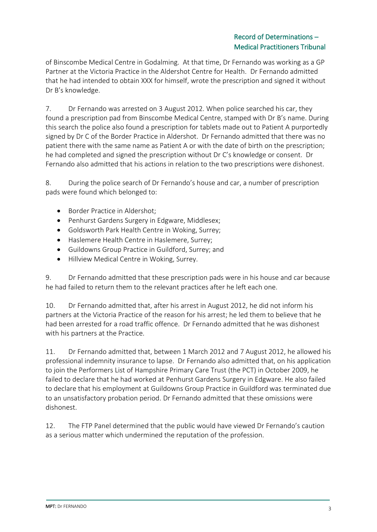of Binscombe Medical Centre in Godalming. At that time, Dr Fernando was working as a GP Partner at the Victoria Practice in the Aldershot Centre for Health. Dr Fernando admitted that he had intended to obtain XXX for himself, wrote the prescription and signed it without Dr B's knowledge.

7. Dr Fernando was arrested on 3 August 2012. When police searched his car, they found a prescription pad from Binscombe Medical Centre, stamped with Dr B's name. During this search the police also found a prescription for tablets made out to Patient A purportedly signed by Dr C of the Border Practice in Aldershot. Dr Fernando admitted that there was no patient there with the same name as Patient A or with the date of birth on the prescription; he had completed and signed the prescription without Dr C's knowledge or consent. Dr Fernando also admitted that his actions in relation to the two prescriptions were dishonest.

8. During the police search of Dr Fernando's house and car, a number of prescription pads were found which belonged to:

- Border Practice in Aldershot;
- Penhurst Gardens Surgery in Edgware, Middlesex;
- Goldsworth Park Health Centre in Woking, Surrey;
- Haslemere Health Centre in Haslemere, Surrey;
- Guildowns Group Practice in Guildford, Surrey; and
- Hillview Medical Centre in Woking, Surrey.

9. Dr Fernando admitted that these prescription pads were in his house and car because he had failed to return them to the relevant practices after he left each one.

10. Dr Fernando admitted that, after his arrest in August 2012, he did not inform his partners at the Victoria Practice of the reason for his arrest; he led them to believe that he had been arrested for a road traffic offence. Dr Fernando admitted that he was dishonest with his partners at the Practice.

11. Dr Fernando admitted that, between 1 March 2012 and 7 August 2012, he allowed his professional indemnity insurance to lapse. Dr Fernando also admitted that, on his application to join the Performers List of Hampshire Primary Care Trust (the PCT) in October 2009, he failed to declare that he had worked at Penhurst Gardens Surgery in Edgware. He also failed to declare that his employment at Guildowns Group Practice in Guildford was terminated due to an unsatisfactory probation period. Dr Fernando admitted that these omissions were dishonest.

12. The FTP Panel determined that the public would have viewed Dr Fernando's caution as a serious matter which undermined the reputation of the profession.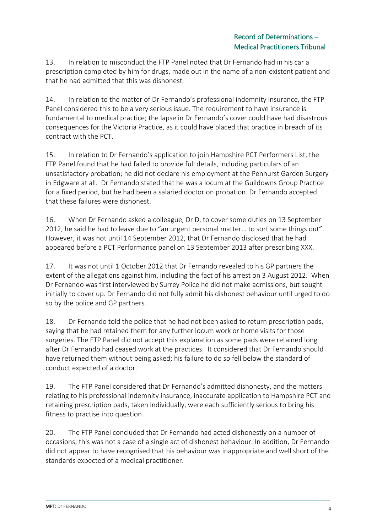13. In relation to misconduct the FTP Panel noted that Dr Fernando had in his car a prescription completed by him for drugs, made out in the name of a non-existent patient and that he had admitted that this was dishonest.

14. In relation to the matter of Dr Fernando's professional indemnity insurance, the FTP Panel considered this to be a very serious issue. The requirement to have insurance is fundamental to medical practice; the lapse in Dr Fernando's cover could have had disastrous consequences for the Victoria Practice, as it could have placed that practice in breach of its contract with the PCT.

15. In relation to Dr Fernando's application to join Hampshire PCT Performers List, the FTP Panel found that he had failed to provide full details, including particulars of an unsatisfactory probation; he did not declare his employment at the Penhurst Garden Surgery in Edgware at all. Dr Fernando stated that he was a locum at the Guildowns Group Practice for a fixed period, but he had been a salaried doctor on probation. Dr Fernando accepted that these failures were dishonest.

16. When Dr Fernando asked a colleague, Dr D, to cover some duties on 13 September 2012, he said he had to leave due to "an urgent personal matter… to sort some things out". However, it was not until 14 September 2012, that Dr Fernando disclosed that he had appeared before a PCT Performance panel on 13 September 2013 after prescribing XXX.

17. It was not until 1 October 2012 that Dr Fernando revealed to his GP partners the extent of the allegations against him, including the fact of his arrest on 3 August 2012. When Dr Fernando was first interviewed by Surrey Police he did not make admissions, but sought initially to cover up. Dr Fernando did not fully admit his dishonest behaviour until urged to do so by the police and GP partners.

18. Dr Fernando told the police that he had not been asked to return prescription pads, saying that he had retained them for any further locum work or home visits for those surgeries. The FTP Panel did not accept this explanation as some pads were retained long after Dr Fernando had ceased work at the practices. It considered that Dr Fernando should have returned them without being asked; his failure to do so fell below the standard of conduct expected of a doctor.

19. The FTP Panel considered that Dr Fernando's admitted dishonesty, and the matters relating to his professional indemnity insurance, inaccurate application to Hampshire PCT and retaining prescription pads, taken individually, were each sufficiently serious to bring his fitness to practise into question.

20. The FTP Panel concluded that Dr Fernando had acted dishonestly on a number of occasions; this was not a case of a single act of dishonest behaviour. In addition, Dr Fernando did not appear to have recognised that his behaviour was inappropriate and well short of the standards expected of a medical practitioner.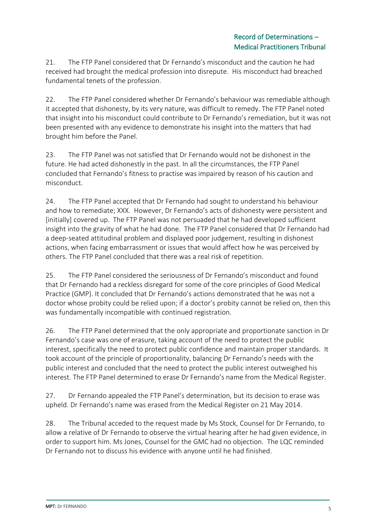21. The FTP Panel considered that Dr Fernando's misconduct and the caution he had received had brought the medical profession into disrepute. His misconduct had breached fundamental tenets of the profession.

22. The FTP Panel considered whether Dr Fernando's behaviour was remediable although it accepted that dishonesty, by its very nature, was difficult to remedy. The FTP Panel noted that insight into his misconduct could contribute to Dr Fernando's remediation, but it was not been presented with any evidence to demonstrate his insight into the matters that had brought him before the Panel.

23. The FTP Panel was not satisfied that Dr Fernando would not be dishonest in the future. He had acted dishonestly in the past. In all the circumstances, the FTP Panel concluded that Fernando's fitness to practise was impaired by reason of his caution and misconduct.

24. The FTP Panel accepted that Dr Fernando had sought to understand his behaviour and how to remediate; XXX. However, Dr Fernando's acts of dishonesty were persistent and [initially] covered up. The FTP Panel was not persuaded that he had developed sufficient insight into the gravity of what he had done. The FTP Panel considered that Dr Fernando had a deep-seated attitudinal problem and displayed poor judgement, resulting in dishonest actions, when facing embarrassment or issues that would affect how he was perceived by others. The FTP Panel concluded that there was a real risk of repetition.

25. The FTP Panel considered the seriousness of Dr Fernando's misconduct and found that Dr Fernando had a reckless disregard for some of the core principles of Good Medical Practice (GMP). It concluded that Dr Fernando's actions demonstrated that he was not a doctor whose probity could be relied upon; if a doctor's probity cannot be relied on, then this was fundamentally incompatible with continued registration.

26. The FTP Panel determined that the only appropriate and proportionate sanction in Dr Fernando's case was one of erasure, taking account of the need to protect the public interest, specifically the need to protect public confidence and maintain proper standards. It took account of the principle of proportionality, balancing Dr Fernando's needs with the public interest and concluded that the need to protect the public interest outweighed his interest. The FTP Panel determined to erase Dr Fernando's name from the Medical Register.

27. Dr Fernando appealed the FTP Panel's determination, but its decision to erase was upheld. Dr Fernando's name was erased from the Medical Register on 21 May 2014.

28. The Tribunal acceded to the request made by Ms Stock, Counsel for Dr Fernando, to allow a relative of Dr Fernando to observe the virtual hearing after he had given evidence, in order to support him. Ms Jones, Counsel for the GMC had no objection. The LQC reminded Dr Fernando not to discuss his evidence with anyone until he had finished.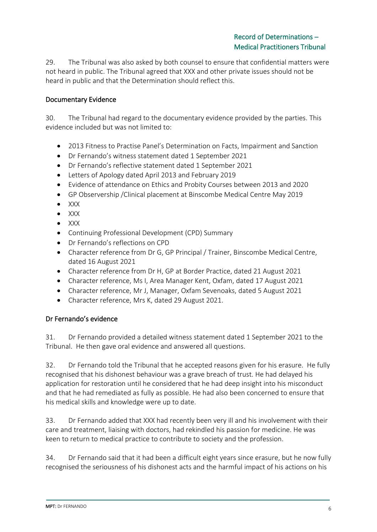29. The Tribunal was also asked by both counsel to ensure that confidential matters were not heard in public. The Tribunal agreed that XXX and other private issues should not be heard in public and that the Determination should reflect this.

# Documentary Evidence

30. The Tribunal had regard to the documentary evidence provided by the parties. This evidence included but was not limited to:

- 2013 Fitness to Practise Panel's Determination on Facts, Impairment and Sanction
- Dr Fernando's witness statement dated 1 September 2021
- Dr Fernando's reflective statement dated 1 September 2021
- Letters of Apology dated April 2013 and February 2019
- Evidence of attendance on Ethics and Probity Courses between 2013 and 2020
- GP Observership /Clinical placement at Binscombe Medical Centre May 2019
- XXX
- XXX
- XXX
- Continuing Professional Development (CPD) Summary
- Dr Fernando's reflections on CPD
- Character reference from Dr G, GP Principal / Trainer, Binscombe Medical Centre, dated 16 August 2021
- Character reference from Dr H, GP at Border Practice, dated 21 August 2021
- Character reference, Ms I, Area Manager Kent, Oxfam, dated 17 August 2021
- Character reference, Mr J, Manager, Oxfam Sevenoaks, dated 5 August 2021
- Character reference, Mrs K, dated 29 August 2021.

#### Dr Fernando's evidence

31. Dr Fernando provided a detailed witness statement dated 1 September 2021 to the Tribunal. He then gave oral evidence and answered all questions.

32. Dr Fernando told the Tribunal that he accepted reasons given for his erasure. He fully recognised that his dishonest behaviour was a grave breach of trust. He had delayed his application for restoration until he considered that he had deep insight into his misconduct and that he had remediated as fully as possible. He had also been concerned to ensure that his medical skills and knowledge were up to date.

33. Dr Fernando added that XXX had recently been very ill and his involvement with their care and treatment, liaising with doctors, had rekindled his passion for medicine. He was keen to return to medical practice to contribute to society and the profession.

34. Dr Fernando said that it had been a difficult eight years since erasure, but he now fully recognised the seriousness of his dishonest acts and the harmful impact of his actions on his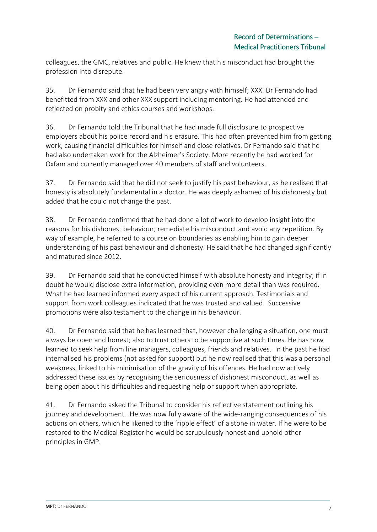colleagues, the GMC, relatives and public. He knew that his misconduct had brought the profession into disrepute.

35. Dr Fernando said that he had been very angry with himself; XXX. Dr Fernando had benefitted from XXX and other XXX support including mentoring. He had attended and reflected on probity and ethics courses and workshops.

36. Dr Fernando told the Tribunal that he had made full disclosure to prospective employers about his police record and his erasure. This had often prevented him from getting work, causing financial difficulties for himself and close relatives. Dr Fernando said that he had also undertaken work for the Alzheimer's Society. More recently he had worked for Oxfam and currently managed over 40 members of staff and volunteers.

37. Dr Fernando said that he did not seek to justify his past behaviour, as he realised that honesty is absolutely fundamental in a doctor. He was deeply ashamed of his dishonesty but added that he could not change the past.

38. Dr Fernando confirmed that he had done a lot of work to develop insight into the reasons for his dishonest behaviour, remediate his misconduct and avoid any repetition. By way of example, he referred to a course on boundaries as enabling him to gain deeper understanding of his past behaviour and dishonesty. He said that he had changed significantly and matured since 2012.

39. Dr Fernando said that he conducted himself with absolute honesty and integrity; if in doubt he would disclose extra information, providing even more detail than was required. What he had learned informed every aspect of his current approach. Testimonials and support from work colleagues indicated that he was trusted and valued. Successive promotions were also testament to the change in his behaviour.

40. Dr Fernando said that he has learned that, however challenging a situation, one must always be open and honest; also to trust others to be supportive at such times. He has now learned to seek help from line managers, colleagues, friends and relatives. In the past he had internalised his problems (not asked for support) but he now realised that this was a personal weakness, linked to his minimisation of the gravity of his offences. He had now actively addressed these issues by recognising the seriousness of dishonest misconduct, as well as being open about his difficulties and requesting help or support when appropriate.

41. Dr Fernando asked the Tribunal to consider his reflective statement outlining his journey and development. He was now fully aware of the wide-ranging consequences of his actions on others, which he likened to the 'ripple effect' of a stone in water. If he were to be restored to the Medical Register he would be scrupulously honest and uphold other principles in GMP.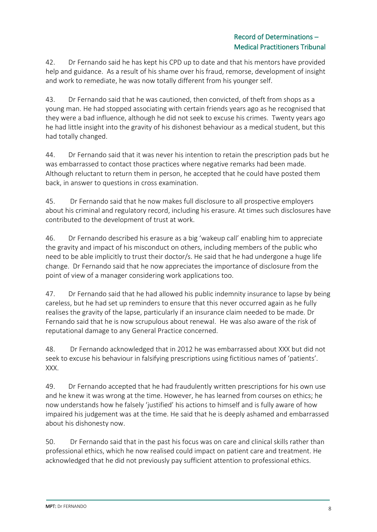42. Dr Fernando said he has kept his CPD up to date and that his mentors have provided help and guidance. As a result of his shame over his fraud, remorse, development of insight and work to remediate, he was now totally different from his younger self.

43. Dr Fernando said that he was cautioned, then convicted, of theft from shops as a young man. He had stopped associating with certain friends years ago as he recognised that they were a bad influence, although he did not seek to excuse his crimes. Twenty years ago he had little insight into the gravity of his dishonest behaviour as a medical student, but this had totally changed.

44. Dr Fernando said that it was never his intention to retain the prescription pads but he was embarrassed to contact those practices where negative remarks had been made. Although reluctant to return them in person, he accepted that he could have posted them back, in answer to questions in cross examination.

45. Dr Fernando said that he now makes full disclosure to all prospective employers about his criminal and regulatory record, including his erasure. At times such disclosures have contributed to the development of trust at work.

46. Dr Fernando described his erasure as a big 'wakeup call' enabling him to appreciate the gravity and impact of his misconduct on others, including members of the public who need to be able implicitly to trust their doctor/s. He said that he had undergone a huge life change. Dr Fernando said that he now appreciates the importance of disclosure from the point of view of a manager considering work applications too.

47. Dr Fernando said that he had allowed his public indemnity insurance to lapse by being careless, but he had set up reminders to ensure that this never occurred again as he fully realises the gravity of the lapse, particularly if an insurance claim needed to be made. Dr Fernando said that he is now scrupulous about renewal. He was also aware of the risk of reputational damage to any General Practice concerned.

48. Dr Fernando acknowledged that in 2012 he was embarrassed about XXX but did not seek to excuse his behaviour in falsifying prescriptions using fictitious names of 'patients'. XXX.

49. Dr Fernando accepted that he had fraudulently written prescriptions for his own use and he knew it was wrong at the time. However, he has learned from courses on ethics; he now understands how he falsely 'justified' his actions to himself and is fully aware of how impaired his judgement was at the time. He said that he is deeply ashamed and embarrassed about his dishonesty now.

50. Dr Fernando said that in the past his focus was on care and clinical skills rather than professional ethics, which he now realised could impact on patient care and treatment. He acknowledged that he did not previously pay sufficient attention to professional ethics.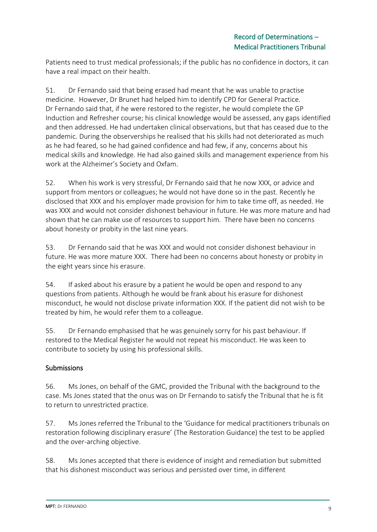Patients need to trust medical professionals; if the public has no confidence in doctors, it can have a real impact on their health.

51. Dr Fernando said that being erased had meant that he was unable to practise medicine. However, Dr Brunet had helped him to identify CPD for General Practice. Dr Fernando said that, if he were restored to the register, he would complete the GP Induction and Refresher course; his clinical knowledge would be assessed, any gaps identified and then addressed. He had undertaken clinical observations, but that has ceased due to the pandemic. During the observerships he realised that his skills had not deteriorated as much as he had feared, so he had gained confidence and had few, if any, concerns about his medical skills and knowledge. He had also gained skills and management experience from his work at the Alzheimer's Society and Oxfam.

52. When his work is very stressful, Dr Fernando said that he now XXX, or advice and support from mentors or colleagues; he would not have done so in the past. Recently he disclosed that XXX and his employer made provision for him to take time off, as needed. He was XXX and would not consider dishonest behaviour in future. He was more mature and had shown that he can make use of resources to support him. There have been no concerns about honesty or probity in the last nine years.

53. Dr Fernando said that he was XXX and would not consider dishonest behaviour in future. He was more mature XXX. There had been no concerns about honesty or probity in the eight years since his erasure.

54. If asked about his erasure by a patient he would be open and respond to any questions from patients. Although he would be frank about his erasure for dishonest misconduct, he would not disclose private information XXX. If the patient did not wish to be treated by him, he would refer them to a colleague.

55. Dr Fernando emphasised that he was genuinely sorry for his past behaviour. If restored to the Medical Register he would not repeat his misconduct. He was keen to contribute to society by using his professional skills.

# Submissions

56. Ms Jones, on behalf of the GMC, provided the Tribunal with the background to the case. Ms Jones stated that the onus was on Dr Fernando to satisfy the Tribunal that he is fit to return to unrestricted practice.

57. Ms Jones referred the Tribunal to the 'Guidance for medical practitioners tribunals on restoration following disciplinary erasure' (The Restoration Guidance) the test to be applied and the over-arching objective.

58. Ms Jones accepted that there is evidence of insight and remediation but submitted that his dishonest misconduct was serious and persisted over time, in different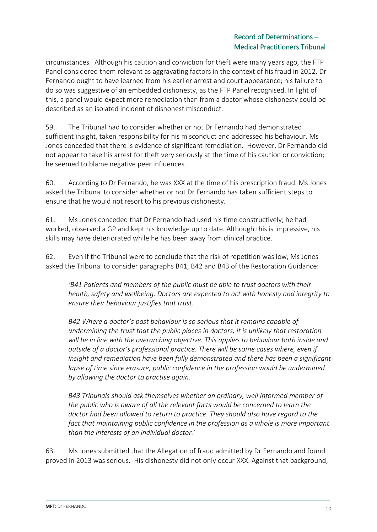## Record of Determinations – Medical Practitioners Tribunal

circumstances. Although his caution and conviction for theft were many years ago, the FTP Panel considered them relevant as aggravating factors in the context of his fraud in 2012. Dr Fernando ought to have learned from his earlier arrest and court appearance; his failure to do so was suggestive of an embedded dishonesty, as the FTP Panel recognised. In light of this, a panel would expect more remediation than from a doctor whose dishonesty could be described as an isolated incident of dishonest misconduct.

59. The Tribunal had to consider whether or not Dr Fernando had demonstrated sufficient insight, taken responsibility for his misconduct and addressed his behaviour. Ms Jones conceded that there is evidence of significant remediation. However, Dr Fernando did not appear to take his arrest for theft very seriously at the time of his caution or conviction; he seemed to blame negative peer influences.

60. According to Dr Fernando, he was XXX at the time of his prescription fraud. Ms Jones asked the Tribunal to consider whether or not Dr Fernando has taken sufficient steps to ensure that he would not resort to his previous dishonesty.

61. Ms Jones conceded that Dr Fernando had used his time constructively; he had worked, observed a GP and kept his knowledge up to date. Although this is impressive, his skills may have deteriorated while he has been away from clinical practice.

62. Even if the Tribunal were to conclude that the risk of repetition was low, Ms Jones asked the Tribunal to consider paragraphs B41, B42 and B43 of the Restoration Guidance:

*'B41 Patients and members of the public must be able to trust doctors with their health, safety and wellbeing. Doctors are expected to act with honesty and integrity to ensure their behaviour justifies that trust.* 

*B42 Where a doctor's past behaviour is so serious that it remains capable of undermining the trust that the public places in doctors, it is unlikely that restoration will be in line with the overarching objective. This applies to behaviour both inside and outside of a doctor's professional practice. There will be some cases where, even if insight and remediation have been fully demonstrated and there has been a significant lapse of time since erasure, public confidence in the profession would be undermined by allowing the doctor to practise again.* 

*B43 Tribunals should ask themselves whether an ordinary, well informed member of the public who is aware of all the relevant facts would be concerned to learn the doctor had been allowed to return to practice. They should also have regard to the fact that maintaining public confidence in the profession as a whole is more important than the interests of an individual doctor.'*

63. Ms Jones submitted that the Allegation of fraud admitted by Dr Fernando and found proved in 2013 was serious. His dishonesty did not only occur XXX. Against that background,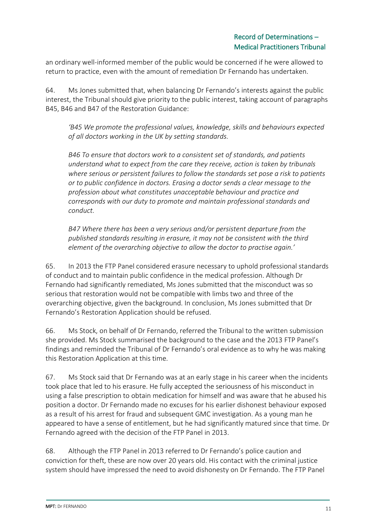an ordinary well-informed member of the public would be concerned if he were allowed to return to practice, even with the amount of remediation Dr Fernando has undertaken.

64. Ms Jones submitted that, when balancing Dr Fernando's interests against the public interest, the Tribunal should give priority to the public interest, taking account of paragraphs B45, B46 and B47 of the Restoration Guidance:

*'B45 We promote the professional values, knowledge, skills and behaviours expected of all doctors working in the UK by setting standards.* 

*B46 To ensure that doctors work to a consistent set of standards, and patients understand what to expect from the care they receive, action is taken by tribunals where serious or persistent failures to follow the standards set pose a risk to patients or to public confidence in doctors. Erasing a doctor sends a clear message to the profession about what constitutes unacceptable behaviour and practice and corresponds with our duty to promote and maintain professional standards and conduct.* 

*B47 Where there has been a very serious and/or persistent departure from the published standards resulting in erasure, it may not be consistent with the third element of the overarching objective to allow the doctor to practise again.'* 

65. In 2013 the FTP Panel considered erasure necessary to uphold professional standards of conduct and to maintain public confidence in the medical profession. Although Dr Fernando had significantly remediated, Ms Jones submitted that the misconduct was so serious that restoration would not be compatible with limbs two and three of the overarching objective, given the background. In conclusion, Ms Jones submitted that Dr Fernando's Restoration Application should be refused.

66. Ms Stock, on behalf of Dr Fernando, referred the Tribunal to the written submission she provided. Ms Stock summarised the background to the case and the 2013 FTP Panel's findings and reminded the Tribunal of Dr Fernando's oral evidence as to why he was making this Restoration Application at this time.

67. Ms Stock said that Dr Fernando was at an early stage in his career when the incidents took place that led to his erasure. He fully accepted the seriousness of his misconduct in using a false prescription to obtain medication for himself and was aware that he abused his position a doctor. Dr Fernando made no excuses for his earlier dishonest behaviour exposed as a result of his arrest for fraud and subsequent GMC investigation. As a young man he appeared to have a sense of entitlement, but he had significantly matured since that time. Dr Fernando agreed with the decision of the FTP Panel in 2013.

68. Although the FTP Panel in 2013 referred to Dr Fernando's police caution and conviction for theft, these are now over 20 years old. His contact with the criminal justice system should have impressed the need to avoid dishonesty on Dr Fernando. The FTP Panel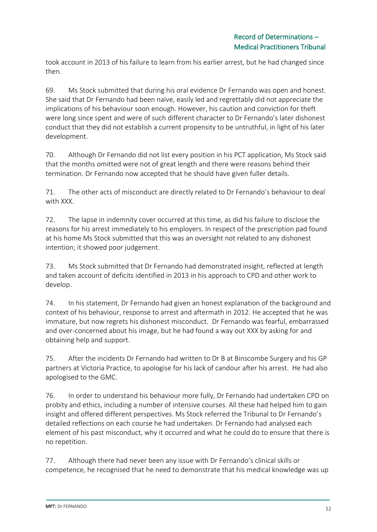took account in 2013 of his failure to learn from his earlier arrest, but he had changed since then.

69. Ms Stock submitted that during his oral evidence Dr Fernando was open and honest. She said that Dr Fernando had been naïve, easily led and regrettably did not appreciate the implications of his behaviour soon enough. However, his caution and conviction for theft were long since spent and were of such different character to Dr Fernando's later dishonest conduct that they did not establish a current propensity to be untruthful, in light of his later development.

70. Although Dr Fernando did not list every position in his PCT application, Ms Stock said that the months omitted were not of great length and there were reasons behind their termination. Dr Fernando now accepted that he should have given fuller details.

71. The other acts of misconduct are directly related to Dr Fernando's behaviour to deal with XXX.

72. The lapse in indemnity cover occurred at this time, as did his failure to disclose the reasons for his arrest immediately to his employers. In respect of the prescription pad found at his home Ms Stock submitted that this was an oversight not related to any dishonest intention; it showed poor judgement.

73. Ms Stock submitted that Dr Fernando had demonstrated insight, reflected at length and taken account of deficits identified in 2013 in his approach to CPD and other work to develop.

74. In his statement, Dr Fernando had given an honest explanation of the background and context of his behaviour, response to arrest and aftermath in 2012. He accepted that he was immature, but now regrets his dishonest misconduct. Dr Fernando was fearful, embarrassed and over-concerned about his image, but he had found a way out XXX by asking for and obtaining help and support.

75. After the incidents Dr Fernando had written to Dr B at Binscombe Surgery and his GP partners at Victoria Practice, to apologise for his lack of candour after his arrest. He had also apologised to the GMC.

76. In order to understand his behaviour more fully, Dr Fernando had undertaken CPD on probity and ethics, including a number of intensive courses. All these had helped him to gain insight and offered different perspectives. Ms Stock referred the Tribunal to Dr Fernando's detailed reflections on each course he had undertaken. Dr Fernando had analysed each element of his past misconduct, why it occurred and what he could do to ensure that there is no repetition.

77. Although there had never been any issue with Dr Fernando's clinical skills or competence, he recognised that he need to demonstrate that his medical knowledge was up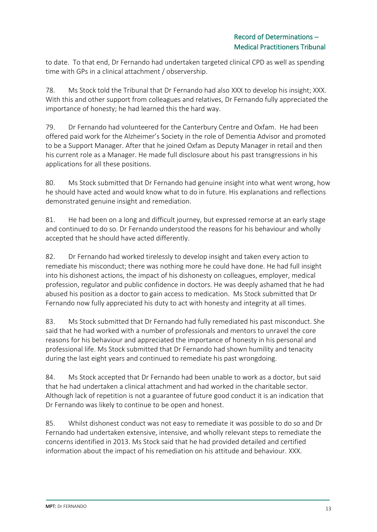to date. To that end, Dr Fernando had undertaken targeted clinical CPD as well as spending time with GPs in a clinical attachment / observership.

78. Ms Stock told the Tribunal that Dr Fernando had also XXX to develop his insight; XXX. With this and other support from colleagues and relatives, Dr Fernando fully appreciated the importance of honesty; he had learned this the hard way.

79. Dr Fernando had volunteered for the Canterbury Centre and Oxfam. He had been offered paid work for the Alzheimer's Society in the role of Dementia Advisor and promoted to be a Support Manager. After that he joined Oxfam as Deputy Manager in retail and then his current role as a Manager. He made full disclosure about his past transgressions in his applications for all these positions.

80. Ms Stock submitted that Dr Fernando had genuine insight into what went wrong, how he should have acted and would know what to do in future. His explanations and reflections demonstrated genuine insight and remediation.

81. He had been on a long and difficult journey, but expressed remorse at an early stage and continued to do so. Dr Fernando understood the reasons for his behaviour and wholly accepted that he should have acted differently.

82. Dr Fernando had worked tirelessly to develop insight and taken every action to remediate his misconduct; there was nothing more he could have done. He had full insight into his dishonest actions, the impact of his dishonesty on colleagues, employer, medical profession, regulator and public confidence in doctors. He was deeply ashamed that he had abused his position as a doctor to gain access to medication. Ms Stock submitted that Dr Fernando now fully appreciated his duty to act with honesty and integrity at all times.

83. Ms Stock submitted that Dr Fernando had fully remediated his past misconduct. She said that he had worked with a number of professionals and mentors to unravel the core reasons for his behaviour and appreciated the importance of honesty in his personal and professional life. Ms Stock submitted that Dr Fernando had shown humility and tenacity during the last eight years and continued to remediate his past wrongdoing.

84. Ms Stock accepted that Dr Fernando had been unable to work as a doctor, but said that he had undertaken a clinical attachment and had worked in the charitable sector. Although lack of repetition is not a guarantee of future good conduct it is an indication that Dr Fernando was likely to continue to be open and honest.

85. Whilst dishonest conduct was not easy to remediate it was possible to do so and Dr Fernando had undertaken extensive, intensive, and wholly relevant steps to remediate the concerns identified in 2013. Ms Stock said that he had provided detailed and certified information about the impact of his remediation on his attitude and behaviour. XXX.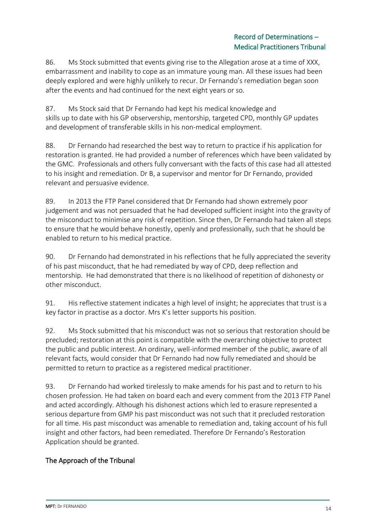86. Ms Stock submitted that events giving rise to the Allegation arose at a time of XXX, embarrassment and inability to cope as an immature young man. All these issues had been deeply explored and were highly unlikely to recur. Dr Fernando's remediation began soon after the events and had continued for the next eight years or so.

87. Ms Stock said that Dr Fernando had kept his medical knowledge and skills up to date with his GP observership, mentorship, targeted CPD, monthly GP updates and development of transferable skills in his non-medical employment.

88. Dr Fernando had researched the best way to return to practice if his application for restoration is granted. He had provided a number of references which have been validated by the GMC. Professionals and others fully conversant with the facts of this case had all attested to his insight and remediation. Dr B, a supervisor and mentor for Dr Fernando, provided relevant and persuasive evidence.

89. In 2013 the FTP Panel considered that Dr Fernando had shown extremely poor judgement and was not persuaded that he had developed sufficient insight into the gravity of the misconduct to minimise any risk of repetition. Since then, Dr Fernando had taken all steps to ensure that he would behave honestly, openly and professionally, such that he should be enabled to return to his medical practice.

90. Dr Fernando had demonstrated in his reflections that he fully appreciated the severity of his past misconduct, that he had remediated by way of CPD, deep reflection and mentorship. He had demonstrated that there is no likelihood of repetition of dishonesty or other misconduct.

91. His reflective statement indicates a high level of insight; he appreciates that trust is a key factor in practise as a doctor. Mrs K's letter supports his position.

92. Ms Stock submitted that his misconduct was not so serious that restoration should be precluded; restoration at this point is compatible with the overarching objective to protect the public and public interest. An ordinary, well-informed member of the public, aware of all relevant facts, would consider that Dr Fernando had now fully remediated and should be permitted to return to practice as a registered medical practitioner.

93. Dr Fernando had worked tirelessly to make amends for his past and to return to his chosen profession. He had taken on board each and every comment from the 2013 FTP Panel and acted accordingly. Although his dishonest actions which led to erasure represented a serious departure from GMP his past misconduct was not such that it precluded restoration for all time. His past misconduct was amenable to remediation and, taking account of his full insight and other factors, had been remediated. Therefore Dr Fernando's Restoration Application should be granted.

# The Approach of the Tribunal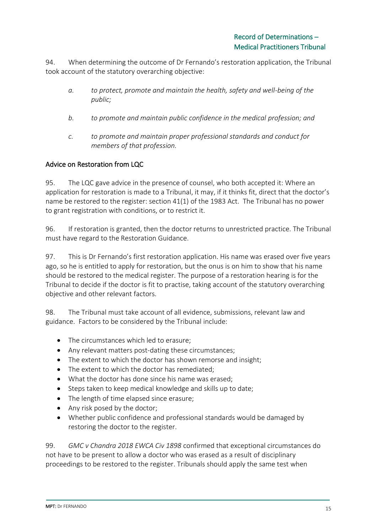94. When determining the outcome of Dr Fernando's restoration application, the Tribunal took account of the statutory overarching objective:

- *a. to protect, promote and maintain the health, safety and well-being of the public;*
- *b. to promote and maintain public confidence in the medical profession; and*
- *c. to promote and maintain proper professional standards and conduct for members of that profession.*

#### Advice on Restoration from LQC

95. The LQC gave advice in the presence of counsel, who both accepted it: Where an application for restoration is made to a Tribunal, it may, if it thinks fit, direct that the doctor's name be restored to the register: section 41(1) of the 1983 Act. The Tribunal has no power to grant registration with conditions, or to restrict it.

96. If restoration is granted, then the doctor returns to unrestricted practice. The Tribunal must have regard to the Restoration Guidance.

97. This is Dr Fernando's first restoration application. His name was erased over five years ago, so he is entitled to apply for restoration, but the onus is on him to show that his name should be restored to the medical register. The purpose of a restoration hearing is for the Tribunal to decide if the doctor is fit to practise, taking account of the statutory overarching objective and other relevant factors.

98. The Tribunal must take account of all evidence, submissions, relevant law and guidance. Factors to be considered by the Tribunal include:

- The circumstances which led to erasure;
- Any relevant matters post-dating these circumstances;
- The extent to which the doctor has shown remorse and insight;
- The extent to which the doctor has remediated;
- What the doctor has done since his name was erased;
- Steps taken to keep medical knowledge and skills up to date;
- The length of time elapsed since erasure;
- Any risk posed by the doctor;
- Whether public confidence and professional standards would be damaged by restoring the doctor to the register.

99. *GMC v Chandra 2018 EWCA Civ 1898* confirmed that exceptional circumstances do not have to be present to allow a doctor who was erased as a result of disciplinary proceedings to be restored to the register. Tribunals should apply the same test when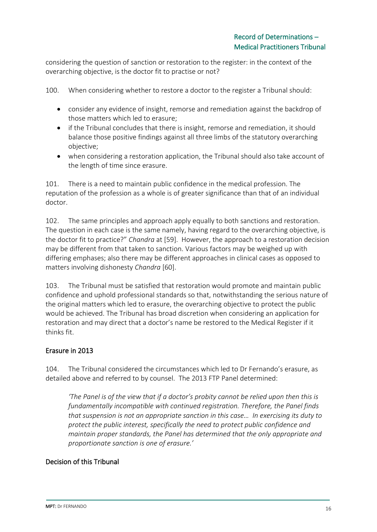considering the question of sanction or restoration to the register: in the context of the overarching objective, is the doctor fit to practise or not?

100. When considering whether to restore a doctor to the register a Tribunal should:

- consider any evidence of insight, remorse and remediation against the backdrop of those matters which led to erasure;
- if the Tribunal concludes that there is insight, remorse and remediation, it should balance those positive findings against all three limbs of the statutory overarching objective;
- when considering a restoration application, the Tribunal should also take account of the length of time since erasure.

101. There is a need to maintain public confidence in the medical profession. The reputation of the profession as a whole is of greater significance than that of an individual doctor.

102. The same principles and approach apply equally to both sanctions and restoration. The question in each case is the same namely, having regard to the overarching objective, is the doctor fit to practice?" *Chandra* at [59]. However, the approach to a restoration decision may be different from that taken to sanction. Various factors may be weighed up with differing emphases; also there may be different approaches in clinical cases as opposed to matters involving dishonesty *Chandra* [60].

103. The Tribunal must be satisfied that restoration would promote and maintain public confidence and uphold professional standards so that, notwithstanding the serious nature of the original matters which led to erasure, the overarching objective to protect the public would be achieved. The Tribunal has broad discretion when considering an application for restoration and may direct that a doctor's name be restored to the Medical Register if it thinks fit.

#### Erasure in 2013

104. The Tribunal considered the circumstances which led to Dr Fernando's erasure, as detailed above and referred to by counsel. The 2013 FTP Panel determined:

*'The Panel is of the view that if a doctor's probity cannot be relied upon then this is fundamentally incompatible with continued registration. Therefore, the Panel finds that suspension is not an appropriate sanction in this case… In exercising its duty to protect the public interest, specifically the need to protect public confidence and maintain proper standards, the Panel has determined that the only appropriate and proportionate sanction is one of erasure.'* 

#### Decision of this Tribunal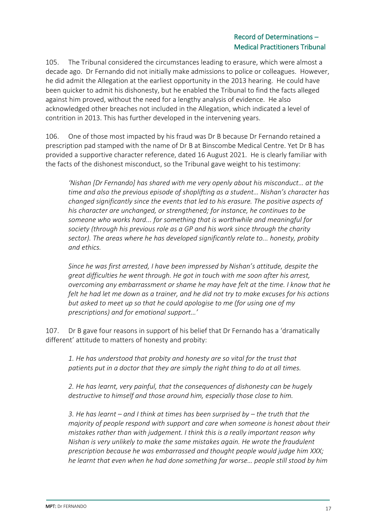## Record of Determinations – Medical Practitioners Tribunal

105. The Tribunal considered the circumstances leading to erasure, which were almost a decade ago. Dr Fernando did not initially make admissions to police or colleagues. However, he did admit the Allegation at the earliest opportunity in the 2013 hearing. He could have been quicker to admit his dishonesty, but he enabled the Tribunal to find the facts alleged against him proved, without the need for a lengthy analysis of evidence. He also acknowledged other breaches not included in the Allegation, which indicated a level of contrition in 2013. This has further developed in the intervening years.

106. One of those most impacted by his fraud was Dr B because Dr Fernando retained a prescription pad stamped with the name of Dr B at Binscombe Medical Centre. Yet Dr B has provided a supportive character reference, dated 16 August 2021. He is clearly familiar with the facts of the dishonest misconduct, so the Tribunal gave weight to his testimony:

*'Nishan [Dr Fernando] has shared with me very openly about his misconduct… at the time and also the previous episode of shoplifting as a student… Nishan's character has changed significantly since the events that led to his erasure. The positive aspects of his character are unchanged, or strengthened; for instance, he continues to be someone who works hard... for something that is worthwhile and meaningful for society (through his previous role as a GP and his work since through the charity sector). The areas where he has developed significantly relate to... honesty, probity and ethics.* 

*Since he was first arrested, I have been impressed by Nishan's attitude, despite the great difficulties he went through. He got in touch with me soon after his arrest, overcoming any embarrassment or shame he may have felt at the time. I know that he felt he had let me down as a trainer, and he did not try to make excuses for his actions but asked to meet up so that he could apologise to me (for using one of my prescriptions) and for emotional support…'* 

107. Dr B gave four reasons in support of his belief that Dr Fernando has a 'dramatically different' attitude to matters of honesty and probity:

*1. He has understood that probity and honesty are so vital for the trust that patients put in a doctor that they are simply the right thing to do at all times.*

*2. He has learnt, very painful, that the consequences of dishonesty can be hugely destructive to himself and those around him, especially those close to him.*

*3. He has learnt – and I think at times has been surprised by – the truth that the majority of people respond with support and care when someone is honest about their mistakes rather than with judgement. I think this is a really important reason why Nishan is very unlikely to make the same mistakes again. He wrote the fraudulent prescription because he was embarrassed and thought people would judge him XXX; he learnt that even when he had done something far worse… people still stood by him*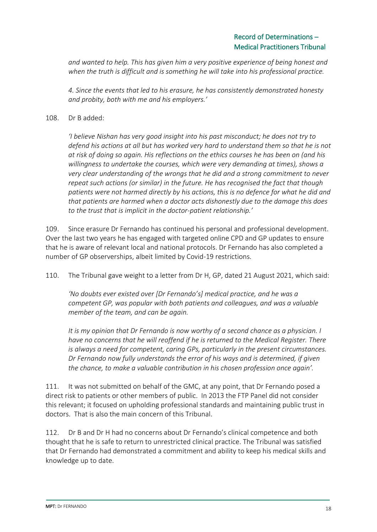*and wanted to help. This has given him a very positive experience of being honest and when the truth is difficult and is something he will take into his professional practice.*

*4. Since the events that led to his erasure, he has consistently demonstrated honesty and probity, both with me and his employers.'* 

#### 108. Dr B added:

*'I believe Nishan has very good insight into his past misconduct; he does not try to defend his actions at all but has worked very hard to understand them so that he is not at risk of doing so again. His reflections on the ethics courses he has been on (and his willingness to undertake the courses, which were very demanding at times), shows a very clear understanding of the wrongs that he did and a strong commitment to never repeat such actions (or similar) in the future. He has recognised the fact that though patients were not harmed directly by his actions, this is no defence for what he did and that patients are harmed when a doctor acts dishonestly due to the damage this does to the trust that is implicit in the doctor-patient relationship.'*

109. Since erasure Dr Fernando has continued his personal and professional development. Over the last two years he has engaged with targeted online CPD and GP updates to ensure that he is aware of relevant local and national protocols. Dr Fernando has also completed a number of GP observerships, albeit limited by Covid-19 restrictions.

110. The Tribunal gave weight to a letter from Dr H, GP, dated 21 August 2021, which said:

*'No doubts ever existed over [Dr Fernando's] medical practice, and he was a competent GP, was popular with both patients and colleagues, and was a valuable member of the team, and can be again.*

*It is my opinion that Dr Fernando is now worthy of a second chance as a physician. I have no concerns that he will reoffend if he is returned to the Medical Register. There is always a need for competent, caring GPs, particularly in the present circumstances. Dr Fernando now fully understands the error of his ways and is determined, if given the chance, to make a valuable contribution in his chosen profession once again'.*

111. It was not submitted on behalf of the GMC, at any point, that Dr Fernando posed a direct risk to patients or other members of public. In 2013 the FTP Panel did not consider this relevant; it focused on upholding professional standards and maintaining public trust in doctors. That is also the main concern of this Tribunal.

112. Dr B and Dr H had no concerns about Dr Fernando's clinical competence and both thought that he is safe to return to unrestricted clinical practice. The Tribunal was satisfied that Dr Fernando had demonstrated a commitment and ability to keep his medical skills and knowledge up to date.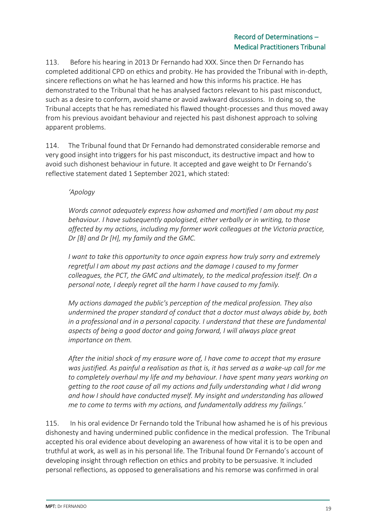# Record of Determinations – Medical Practitioners Tribunal

113. Before his hearing in 2013 Dr Fernando had XXX. Since then Dr Fernando has completed additional CPD on ethics and probity. He has provided the Tribunal with in-depth, sincere reflections on what he has learned and how this informs his practice. He has demonstrated to the Tribunal that he has analysed factors relevant to his past misconduct, such as a desire to conform, avoid shame or avoid awkward discussions. In doing so, the Tribunal accepts that he has remediated his flawed thought-processes and thus moved away from his previous avoidant behaviour and rejected his past dishonest approach to solving apparent problems.

114. The Tribunal found that Dr Fernando had demonstrated considerable remorse and very good insight into triggers for his past misconduct, its destructive impact and how to avoid such dishonest behaviour in future. It accepted and gave weight to Dr Fernando's reflective statement dated 1 September 2021, which stated:

*'Apology*

*Words cannot adequately express how ashamed and mortified I am about my past behaviour. I have subsequently apologised, either verbally or in writing, to those affected by my actions, including my former work colleagues at the Victoria practice, Dr [B] and Dr [H], my family and the GMC.* 

*I want to take this opportunity to once again express how truly sorry and extremely regretful I am about my past actions and the damage I caused to my former colleagues, the PCT, the GMC and ultimately, to the medical profession itself. On a personal note, I deeply regret all the harm I have caused to my family.*

*My actions damaged the public's perception of the medical profession. They also undermined the proper standard of conduct that a doctor must always abide by, both in a professional and in a personal capacity. I understand that these are fundamental aspects of being a good doctor and going forward, I will always place great importance on them.*

*After the initial shock of my erasure wore of, I have come to accept that my erasure was justified. As painful a realisation as that is, it has served as a wake-up call for me to completely overhaul my life and my behaviour. I have spent many years working on getting to the root cause of all my actions and fully understanding what I did wrong and how I should have conducted myself. My insight and understanding has allowed me to come to terms with my actions, and fundamentally address my failings.'*

115. In his oral evidence Dr Fernando told the Tribunal how ashamed he is of his previous dishonesty and having undermined public confidence in the medical profession. The Tribunal accepted his oral evidence about developing an awareness of how vital it is to be open and truthful at work, as well as in his personal life. The Tribunal found Dr Fernando's account of developing insight through reflection on ethics and probity to be persuasive. It included personal reflections, as opposed to generalisations and his remorse was confirmed in oral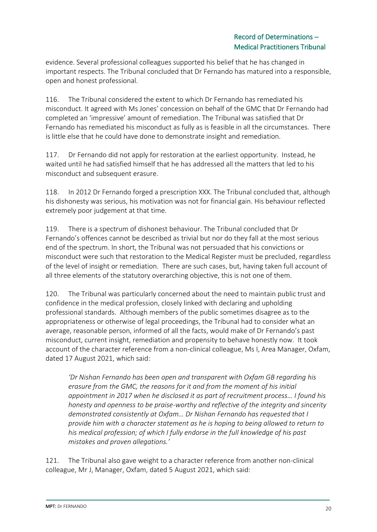evidence. Several professional colleagues supported his belief that he has changed in important respects. The Tribunal concluded that Dr Fernando has matured into a responsible, open and honest professional.

116. The Tribunal considered the extent to which Dr Fernando has remediated his misconduct. It agreed with Ms Jones' concession on behalf of the GMC that Dr Fernando had completed an 'impressive' amount of remediation. The Tribunal was satisfied that Dr Fernando has remediated his misconduct as fully as is feasible in all the circumstances. There is little else that he could have done to demonstrate insight and remediation.

117. Dr Fernando did not apply for restoration at the earliest opportunity. Instead, he waited until he had satisfied himself that he has addressed all the matters that led to his misconduct and subsequent erasure.

118. In 2012 Dr Fernando forged a prescription XXX. The Tribunal concluded that, although his dishonesty was serious, his motivation was not for financial gain. His behaviour reflected extremely poor judgement at that time.

119. There is a spectrum of dishonest behaviour. The Tribunal concluded that Dr Fernando's offences cannot be described as trivial but nor do they fall at the most serious end of the spectrum. In short, the Tribunal was not persuaded that his convictions or misconduct were such that restoration to the Medical Register must be precluded, regardless of the level of insight or remediation. There are such cases, but, having taken full account of all three elements of the statutory overarching objective, this is not one of them.

120. The Tribunal was particularly concerned about the need to maintain public trust and confidence in the medical profession, closely linked with declaring and upholding professional standards. Although members of the public sometimes disagree as to the appropriateness or otherwise of legal proceedings, the Tribunal had to consider what an average, reasonable person, informed of all the facts, would make of Dr Fernando's past misconduct, current insight, remediation and propensity to behave honestly now. It took account of the character reference from a non-clinical colleague, Ms I, Area Manager, Oxfam, dated 17 August 2021, which said:

*'Dr Nishan Fernando has been open and transparent with Oxfam GB regarding his erasure from the GMC, the reasons for it and from the moment of his initial appointment in 2017 when he disclosed it as part of recruitment process… I found his honesty and openness to be praise-worthy and reflective of the integrity and sincerity demonstrated consistently at Oxfam… Dr Nishan Fernando has requested that I provide him with a character statement as he is hoping to being allowed to return to his medical profession; of which I fully endorse in the full knowledge of his past mistakes and proven allegations.'*

121. The Tribunal also gave weight to a character reference from another non-clinical colleague, Mr J, Manager, Oxfam, dated 5 August 2021, which said: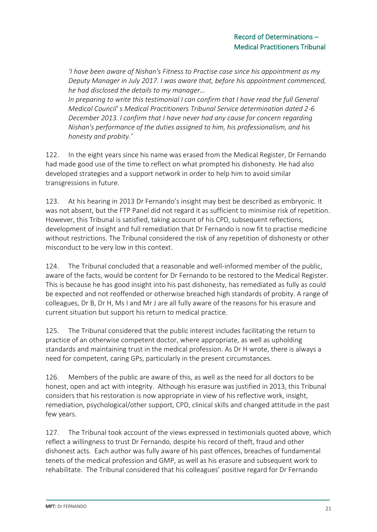*'I have been aware of Nishan's Fitness to Practise case since his appointment as my Deputy Manager in July 2017. I was aware that, before his appointment commenced, he had disclosed the details to my manager…* 

*In preparing to write this testimonial I can confirm that I have read the full General Medical Council' s Medical Practitioners Tribunal Service determination dated 2-6 December 2013. I confirm that I have never had any cause for concern regarding Nishan's performance of the duties assigned to him, his professionalism, and his honesty and probity.'*

122. In the eight years since his name was erased from the Medical Register, Dr Fernando had made good use of the time to reflect on what prompted his dishonesty. He had also developed strategies and a support network in order to help him to avoid similar transgressions in future.

123. At his hearing in 2013 Dr Fernando's insight may best be described as embryonic. It was not absent, but the FTP Panel did not regard it as sufficient to minimise risk of repetition. However, this Tribunal is satisfied, taking account of his CPD, subsequent reflections, development of insight and full remediation that Dr Fernando is now fit to practise medicine without restrictions. The Tribunal considered the risk of any repetition of dishonesty or other misconduct to be very low in this context.

124. The Tribunal concluded that a reasonable and well-informed member of the public, aware of the facts, would be content for Dr Fernando to be restored to the Medical Register. This is because he has good insight into his past dishonesty, has remediated as fully as could be expected and not reoffended or otherwise breached high standards of probity. A range of colleagues, Dr B, Dr H, Ms I and Mr J are all fully aware of the reasons for his erasure and current situation but support his return to medical practice.

125. The Tribunal considered that the public interest includes facilitating the return to practice of an otherwise competent doctor, where appropriate, as well as upholding standards and maintaining trust in the medical profession. As Dr H wrote, there is always a need for competent, caring GPs, particularly in the present circumstances.

126. Members of the public are aware of this, as well as the need for all doctors to be honest, open and act with integrity. Although his erasure was justified in 2013, this Tribunal considers that his restoration is now appropriate in view of his reflective work, insight, remediation, psychological/other support, CPD, clinical skills and changed attitude in the past few years.

127. The Tribunal took account of the views expressed in testimonials quoted above, which reflect a willingness to trust Dr Fernando, despite his record of theft, fraud and other dishonest acts. Each author was fully aware of his past offences, breaches of fundamental tenets of the medical profession and GMP, as well as his erasure and subsequent work to rehabilitate. The Tribunal considered that his colleagues' positive regard for Dr Fernando